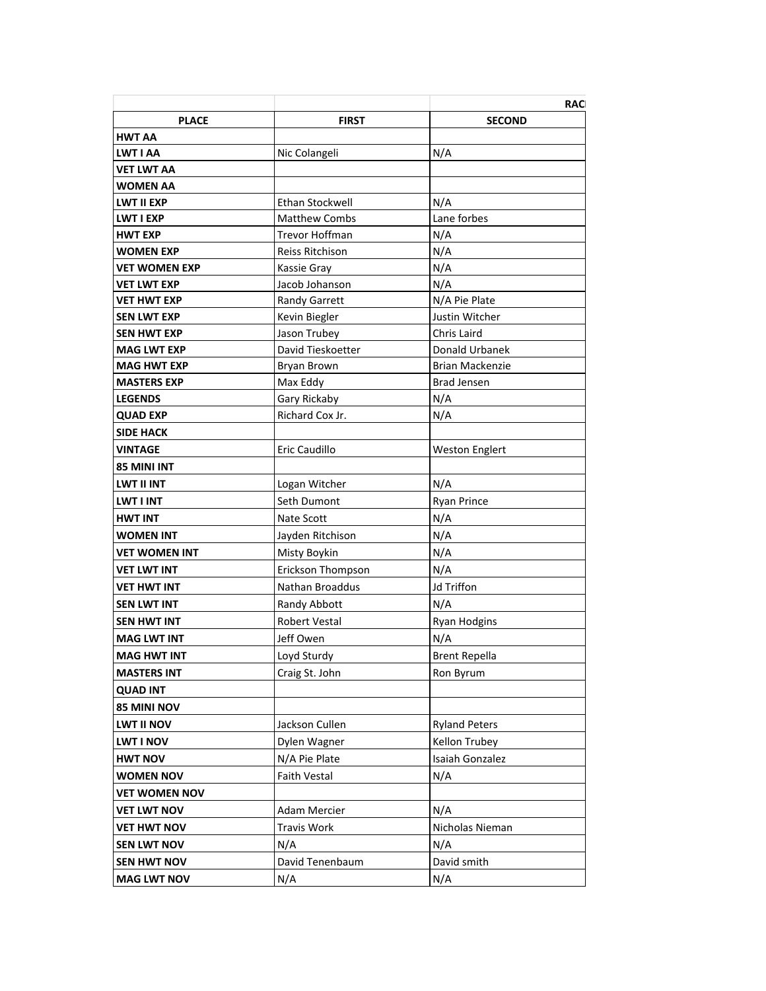|                      |                      | <b>RAC</b>             |
|----------------------|----------------------|------------------------|
| <b>PLACE</b>         | <b>FIRST</b>         | <b>SECOND</b>          |
| <b>HWT AA</b>        |                      |                        |
| <b>LWT I AA</b>      | Nic Colangeli        | N/A                    |
| VET LWT AA           |                      |                        |
| <b>WOMEN AA</b>      |                      |                        |
| <b>LWT II EXP</b>    | Ethan Stockwell      | N/A                    |
| <b>LWT I EXP</b>     | <b>Matthew Combs</b> | Lane forbes            |
| <b>HWT EXP</b>       | Trevor Hoffman       | N/A                    |
| <b>WOMEN EXP</b>     | Reiss Ritchison      | N/A                    |
| <b>VET WOMEN EXP</b> | Kassie Gray          | N/A                    |
| <b>VET LWT EXP</b>   | Jacob Johanson       | N/A                    |
| VET HWT EXP          | <b>Randy Garrett</b> | N/A Pie Plate          |
| <b>SEN LWT EXP</b>   | Kevin Biegler        | Justin Witcher         |
| <b>SEN HWT EXP</b>   | Jason Trubey         | Chris Laird            |
| <b>MAG LWT EXP</b>   | David Tieskoetter    | Donald Urbanek         |
| <b>MAG HWT EXP</b>   | Bryan Brown          | <b>Brian Mackenzie</b> |
| <b>MASTERS EXP</b>   | Max Eddy             | <b>Brad Jensen</b>     |
| <b>LEGENDS</b>       | Gary Rickaby         | N/A                    |
| <b>QUAD EXP</b>      | Richard Cox Jr.      | N/A                    |
| <b>SIDE HACK</b>     |                      |                        |
| <b>VINTAGE</b>       | Eric Caudillo        | <b>Weston Englert</b>  |
| <b>85 MINI INT</b>   |                      |                        |
| <b>LWT II INT</b>    | Logan Witcher        | N/A                    |
| <b>LWT I INT</b>     | Seth Dumont          | <b>Ryan Prince</b>     |
| <b>HWT INT</b>       | Nate Scott           | N/A                    |
| <b>WOMEN INT</b>     | Jayden Ritchison     | N/A                    |
| <b>VET WOMEN INT</b> | Misty Boykin         | N/A                    |
| <b>VET LWT INT</b>   | Erickson Thompson    | N/A                    |
| VET HWT INT          | Nathan Broaddus      | <b>Jd Triffon</b>      |
| <b>SEN LWT INT</b>   | Randy Abbott         | N/A                    |
| <b>SEN HWT INT</b>   | <b>Robert Vestal</b> | Ryan Hodgins           |
| <b>MAG LWT INT</b>   | Jeff Owen            | N/A                    |
| <b>MAG HWT INT</b>   | Loyd Sturdy          | <b>Brent Repella</b>   |
|                      |                      |                        |
| <b>MASTERS INT</b>   | Craig St. John       | Ron Byrum              |
| <b>QUAD INT</b>      |                      |                        |
| 85 MINI NOV          |                      |                        |
| <b>LWT II NOV</b>    | Jackson Cullen       | <b>Ryland Peters</b>   |
| <b>LWT I NOV</b>     | Dylen Wagner         | Kellon Trubey          |
| <b>HWT NOV</b>       | N/A Pie Plate        | Isaiah Gonzalez        |
| <b>WOMEN NOV</b>     | <b>Faith Vestal</b>  | N/A                    |
| <b>VET WOMEN NOV</b> |                      |                        |
| <b>VET LWT NOV</b>   | Adam Mercier         | N/A                    |
| <b>VET HWT NOV</b>   | Travis Work          | Nicholas Nieman        |
| <b>SEN LWT NOV</b>   | N/A                  | N/A                    |
| <b>SEN HWT NOV</b>   | David Tenenbaum      | David smith            |
| <b>MAG LWT NOV</b>   | N/A                  | N/A                    |
|                      |                      |                        |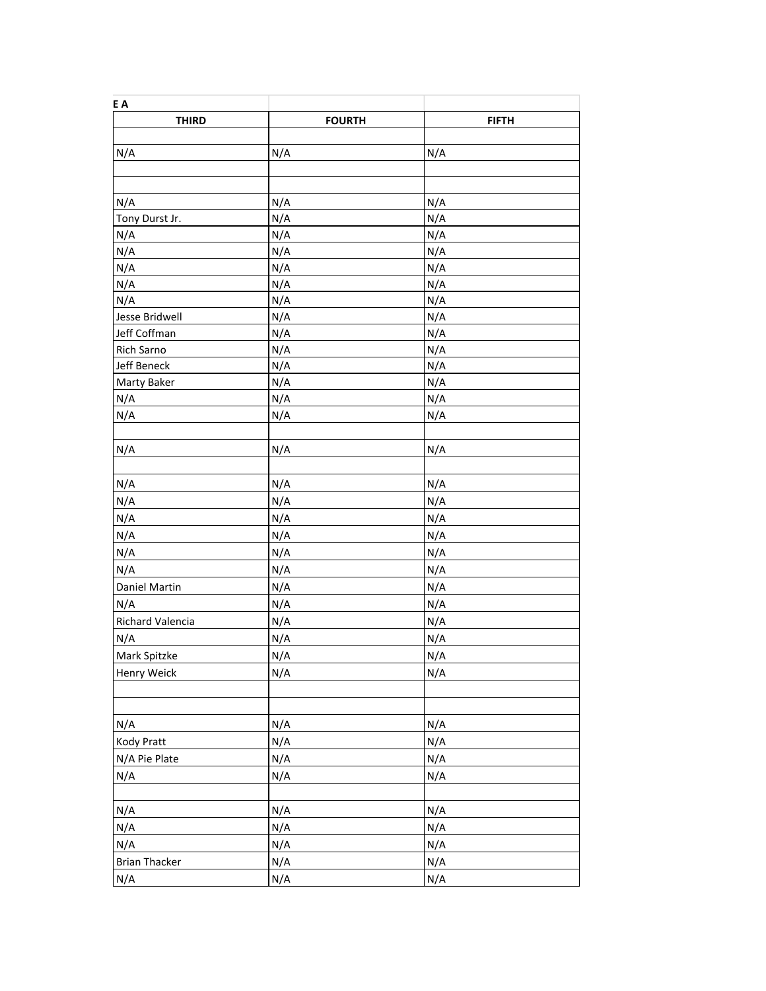| E A                  |               |              |
|----------------------|---------------|--------------|
| <b>THIRD</b>         | <b>FOURTH</b> | <b>FIFTH</b> |
|                      |               |              |
| N/A                  | N/A           | N/A          |
|                      |               |              |
| N/A                  | N/A           | N/A          |
| Tony Durst Jr.       | N/A           | N/A          |
| N/A                  | N/A           | N/A          |
| N/A                  | N/A           | N/A          |
| N/A                  | N/A           | N/A          |
| N/A                  | N/A           | N/A          |
| N/A                  | N/A           | N/A          |
| Jesse Bridwell       | N/A           | N/A          |
| Jeff Coffman         | N/A           | N/A          |
| Rich Sarno           | N/A           | N/A          |
| Jeff Beneck          | N/A           | N/A          |
| Marty Baker          | N/A           | N/A          |
| N/A                  | N/A           | N/A          |
| N/A                  | N/A           | N/A          |
|                      |               |              |
| N/A                  | N/A           | N/A          |
|                      |               |              |
| N/A                  | N/A           | N/A          |
| N/A                  | N/A           | N/A          |
| N/A                  | N/A           | N/A          |
| N/A                  | N/A           | N/A          |
| N/A                  | N/A           | N/A          |
| N/A                  | N/A           | N/A          |
| Daniel Martin        | N/A           | N/A          |
| N/A                  | N/A           | N/A          |
| Richard Valencia     | N/A           | N/A          |
| N/A                  | N/A           | N/A          |
| Mark Spitzke         | N/A           | N/A          |
| Henry Weick          | N/A           | N/A          |
|                      |               |              |
|                      |               |              |
| N/A                  | N/A           | N/A          |
| Kody Pratt           | N/A           | N/A          |
| N/A Pie Plate        | N/A           | N/A          |
| N/A                  | N/A           | N/A          |
|                      |               |              |
| N/A                  | N/A           | N/A          |
| N/A                  | N/A           | N/A          |
| N/A                  | N/A           | N/A          |
| <b>Brian Thacker</b> | N/A           | N/A          |
| N/A                  | N/A           | N/A          |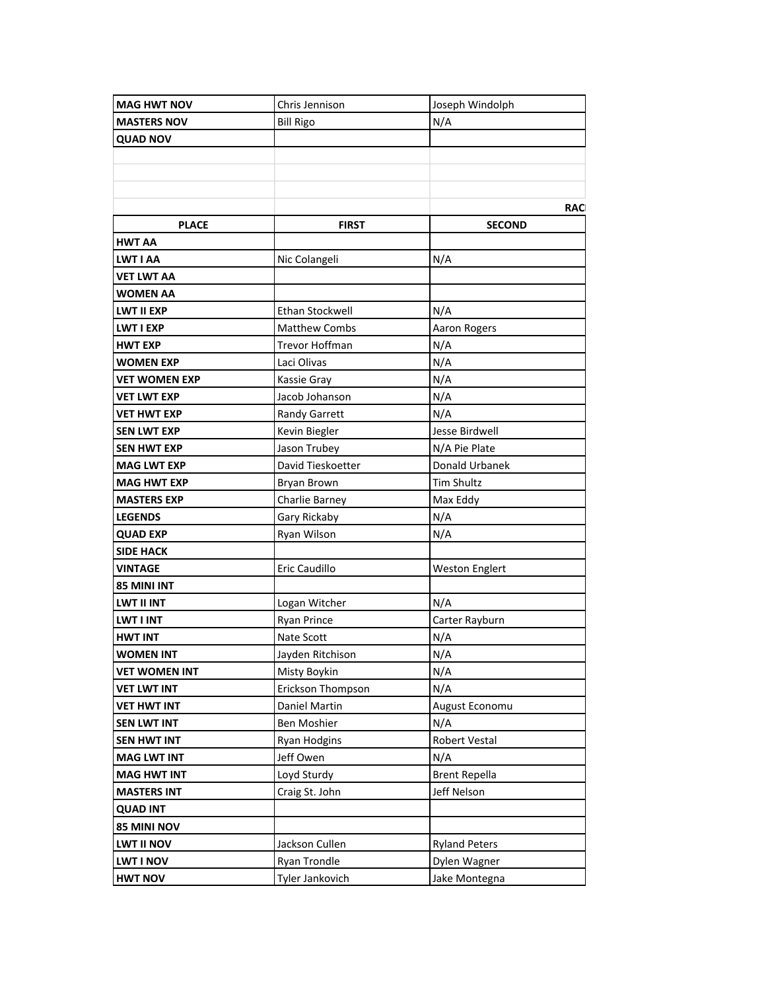| <b>MAG HWT NOV</b>                       | Chris Jennison            | Joseph Windolph       |
|------------------------------------------|---------------------------|-----------------------|
| <b>MASTERS NOV</b>                       | <b>Bill Rigo</b>          | N/A                   |
| <b>QUAD NOV</b>                          |                           |                       |
|                                          |                           |                       |
|                                          |                           |                       |
|                                          |                           |                       |
|                                          |                           | <b>RAC</b>            |
| <b>PLACE</b>                             | <b>FIRST</b>              | <b>SECOND</b>         |
| HWT AA                                   |                           |                       |
| <b>LWT I AA</b>                          | Nic Colangeli             | N/A                   |
| <b>VET LWT AA</b>                        |                           |                       |
| <b>WOMEN AA</b>                          |                           |                       |
| LWT II EXP                               | Ethan Stockwell           | N/A                   |
| LWT I EXP                                | <b>Matthew Combs</b>      | <b>Aaron Rogers</b>   |
| <b>HWT EXP</b>                           | Trevor Hoffman            | N/A                   |
| WOMEN EXP                                | Laci Olivas               | N/A                   |
| <b>VET WOMEN EXP</b>                     | Kassie Gray               | N/A                   |
| <b>VET LWT EXP</b>                       | Jacob Johanson            | N/A                   |
| VET HWT EXP                              | Randy Garrett             | N/A                   |
| <b>SEN LWT EXP</b>                       | Kevin Biegler             | Jesse Birdwell        |
| SEN HWT EXP                              | Jason Trubey              | N/A Pie Plate         |
| <b>MAG LWT EXP</b>                       | David Tieskoetter         | Donald Urbanek        |
| MAG HWT EXP                              | <b>Bryan Brown</b>        | <b>Tim Shultz</b>     |
| <b>MASTERS EXP</b>                       | Charlie Barney            | Max Eddy              |
| <b>LEGENDS</b>                           | Gary Rickaby              | N/A                   |
| <b>QUAD EXP</b>                          | Ryan Wilson               | N/A                   |
| <b>SIDE HACK</b>                         |                           |                       |
| <b>VINTAGE</b>                           | Eric Caudillo             | <b>Weston Englert</b> |
| 85 MINI INT                              |                           |                       |
| LWT II INT                               | Logan Witcher             | N/A                   |
| <b>LWT I INT</b>                         | <b>Ryan Prince</b>        | Carter Rayburn        |
| <b>HWT INT</b>                           | Nate Scott                | N/A                   |
| <b>WOMEN INT</b>                         | Jayden Ritchison          | N/A                   |
| <b>VET WOMEN INT</b>                     | Misty Boykin              | N/A                   |
| <b>VET LWT INT</b>                       | Erickson Thompson         | N/A                   |
|                                          | Daniel Martin             |                       |
| <b>VET HWT INT</b><br><b>SEN LWT INT</b> | Ben Moshier               | August Economu<br>N/A |
| <b>SEN HWT INT</b>                       |                           | Robert Vestal         |
|                                          | Ryan Hodgins<br>Jeff Owen |                       |
| <b>MAG LWT INT</b>                       |                           | N/A                   |
| <b>MAG HWT INT</b>                       | Loyd Sturdy               | <b>Brent Repella</b>  |
| <b>MASTERS INT</b>                       | Craig St. John            | Jeff Nelson           |
| <b>QUAD INT</b>                          |                           |                       |
| 85 MINI NOV                              |                           |                       |
| <b>LWT II NOV</b>                        | Jackson Cullen            | <b>Ryland Peters</b>  |
| <b>LWT I NOV</b>                         | Ryan Trondle              | Dylen Wagner          |
| <b>HWT NOV</b>                           | Tyler Jankovich           | Jake Montegna         |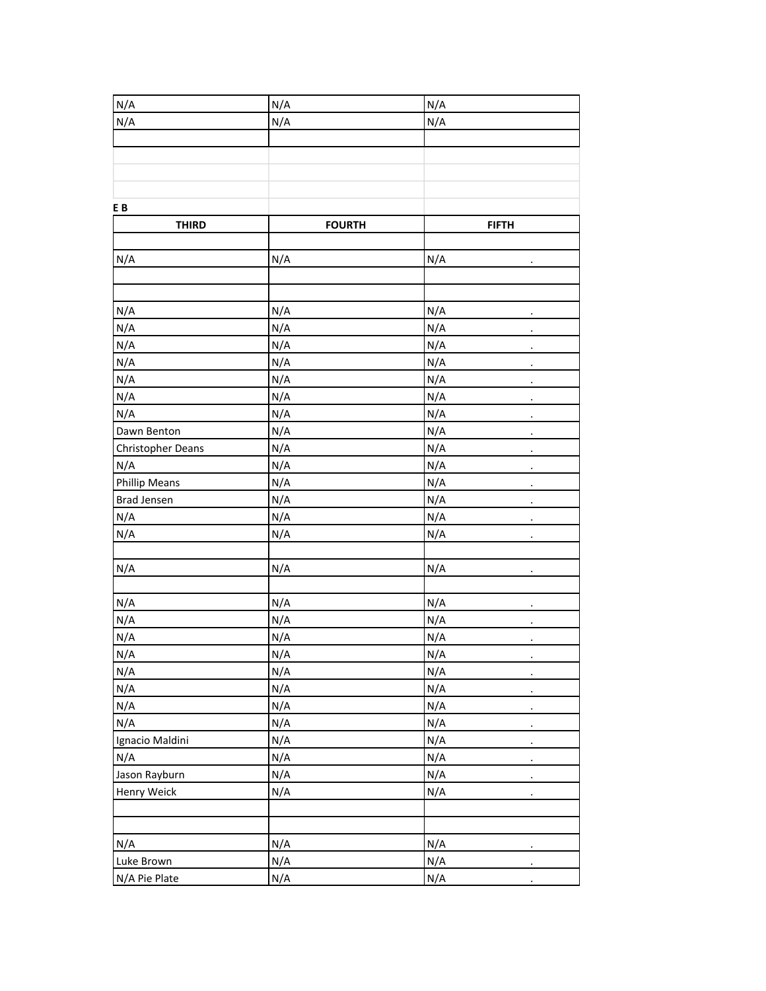| N/A                  | N/A           | N/A                         |
|----------------------|---------------|-----------------------------|
| N/A                  | N/A           | N/A                         |
|                      |               |                             |
|                      |               |                             |
|                      |               |                             |
|                      |               |                             |
| EB                   |               |                             |
| <b>THIRD</b>         | <b>FOURTH</b> | <b>FIFTH</b>                |
|                      |               |                             |
| N/A                  | N/A           | N/A                         |
|                      |               |                             |
|                      |               |                             |
| N/A                  | N/A           | N/A                         |
| N/A                  | N/A           | N/A<br>$\cdot$              |
| N/A                  | N/A           | N/A<br>$\cdot$              |
| N/A                  | N/A           | N/A<br>٠                    |
| N/A                  | N/A           | N/A                         |
| N/A                  | N/A           | N/A                         |
| N/A                  | N/A           | N/A                         |
| Dawn Benton          | N/A           | N/A<br>$\ddot{\phantom{0}}$ |
| Christopher Deans    | N/A           | N/A<br>$\cdot$              |
| N/A                  | N/A           | N/A<br>$\cdot$              |
| <b>Phillip Means</b> | N/A           | N/A                         |
| <b>Brad Jensen</b>   | N/A           | N/A<br>$\ddot{\phantom{0}}$ |
| N/A                  | N/A           | N/A                         |
| N/A                  | N/A           | N/A                         |
|                      |               |                             |
| N/A                  | N/A           | N/A<br>$\ddot{\phantom{0}}$ |
|                      |               |                             |
| N/A                  | N/A           | N/A<br>$\cdot$              |
| N/A                  | N/A           | N/A                         |
| N/A                  | N/A           | N/A                         |
| N/A                  | N/A           | N/A<br>$\cdot$              |
| N/A                  | N/A           | N/A<br>$\bullet$            |
| N/A                  | N/A           | N/A                         |
| N/A                  | N/A           | N/A<br>$\ddot{\phantom{0}}$ |
| N/A                  | N/A           | N/A                         |
| Ignacio Maldini      | N/A           | N/A<br>$\ddot{\phantom{0}}$ |
| N/A                  | N/A           | N/A                         |
| Jason Rayburn        | N/A           | N/A<br>$\ddot{\phantom{0}}$ |
| Henry Weick          | N/A           | N/A<br>$\bullet$            |
|                      |               |                             |
|                      |               |                             |
| N/A                  | N/A           | N/A                         |
| Luke Brown           | N/A           | N/A<br>$\ddot{\phantom{0}}$ |
| N/A Pie Plate        | N/A           | N/A<br>$\ddot{\phantom{0}}$ |